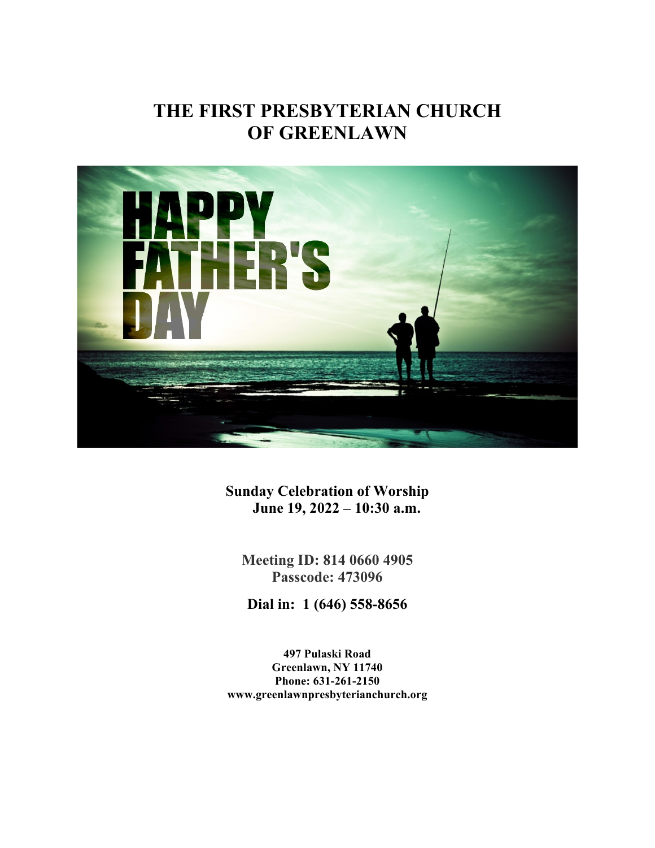# **THE FIRST PRESBYTERIAN CHURCH OF GREENLAWN**



**Sunday Celebration of Worship June 19, 2022 – 10:30 a.m.**

**Meeting ID: 814 0660 4905 Passcode: 473096**

**Dial in: 1 (646) 558-8656**

**497 Pulaski Road Greenlawn, NY 11740 Phone: 631-261-2150 www.greenlawnpresbyterianchurch.org**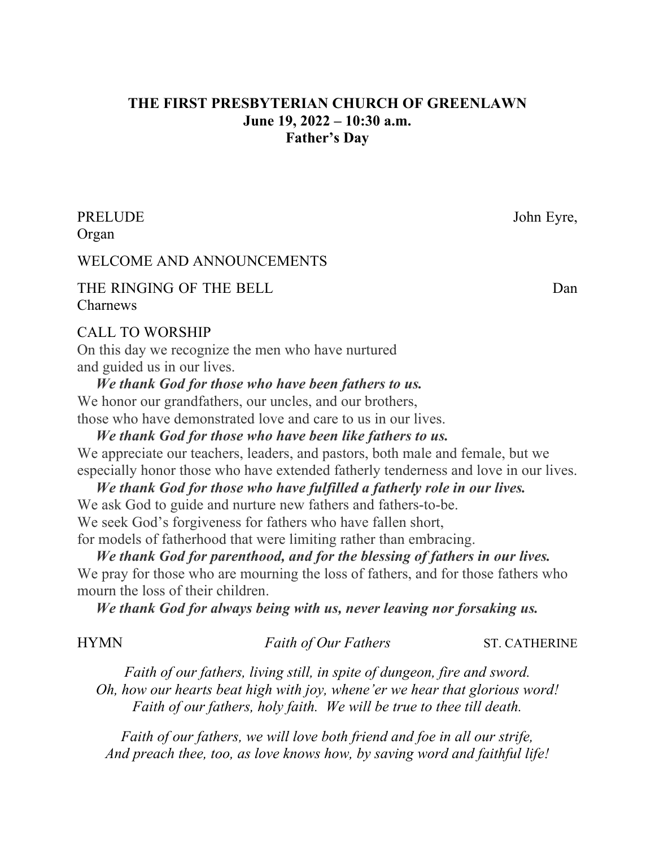# **THE FIRST PRESBYTERIAN CHURCH OF GREENLAWN June 19, 2022 – 10:30 a.m. Father's Day**

PRELUDE John Eyre, Organ

### WELCOME AND ANNOUNCEMENTS

### THE RINGING OF THE BELL **Dan** Charnews

#### CALL TO WORSHIP

On this day we recognize the men who have nurtured and guided us in our lives.

 *We thank God for those who have been fathers to us.* We honor our grandfathers, our uncles, and our brothers, those who have demonstrated love and care to us in our lives.

 *We thank God for those who have been like fathers to us.* We appreciate our teachers, leaders, and pastors, both male and female, but we especially honor those who have extended fatherly tenderness and love in our lives.

 *We thank God for those who have fulfilled a fatherly role in our lives.* We ask God to guide and nurture new fathers and fathers-to-be. We seek God's forgiveness for fathers who have fallen short, for models of fatherhood that were limiting rather than embracing.

 *We thank God for parenthood, and for the blessing of fathers in our lives.* We pray for those who are mourning the loss of fathers, and for those fathers who mourn the loss of their children.

*We thank God for always being with us, never leaving nor forsaking us.*

#### HYMN *Faith of Our Fathers* ST. CATHERINE

*Faith of our fathers, living still, in spite of dungeon, fire and sword. Oh, how our hearts beat high with joy, whene'er we hear that glorious word! Faith of our fathers, holy faith. We will be true to thee till death.*

*Faith of our fathers, we will love both friend and foe in all our strife, And preach thee, too, as love knows how, by saving word and faithful life!*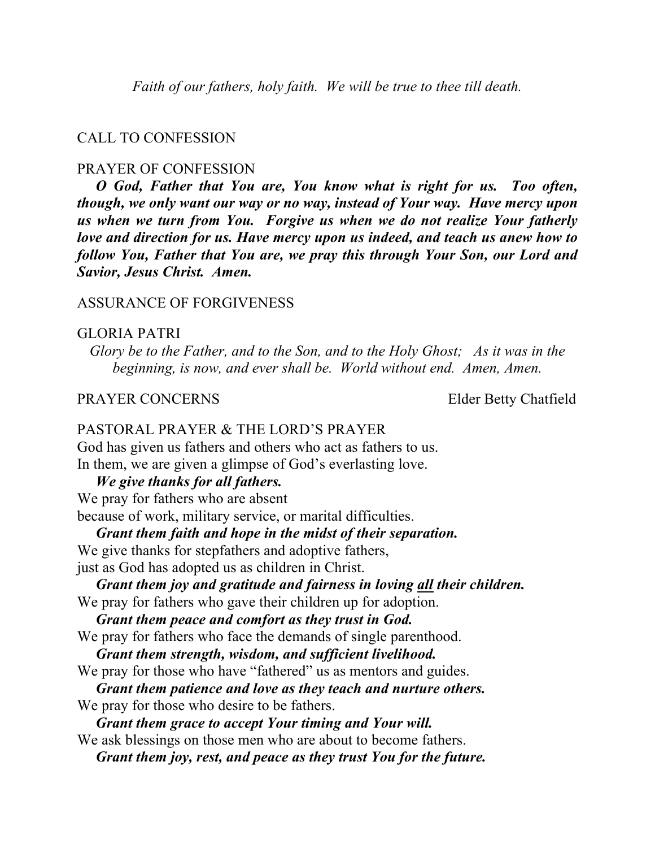*Faith of our fathers, holy faith. We will be true to thee till death.*

#### CALL TO CONFESSION

#### PRAYER OF CONFESSION

 *O God, Father that You are, You know what is right for us. Too often, though, we only want our way or no way, instead of Your way. Have mercy upon us when we turn from You. Forgive us when we do not realize Your fatherly love and direction for us. Have mercy upon us indeed, and teach us anew how to follow You, Father that You are, we pray this through Your Son, our Lord and Savior, Jesus Christ. Amen.*

#### ASSURANCE OF FORGIVENESS

#### GLORIA PATRI

*Glory be to the Father, and to the Son, and to the Holy Ghost; As it was in the beginning, is now, and ever shall be. World without end. Amen, Amen.*

#### PRAYER CONCERNS Elder Betty Chatfield

#### PASTORAL PRAYER & THE LORD'S PRAYER

God has given us fathers and others who act as fathers to us. In them, we are given a glimpse of God's everlasting love.

#### *We give thanks for all fathers.*

We pray for fathers who are absent

because of work, military service, or marital difficulties.

*Grant them faith and hope in the midst of their separation.*

We give thanks for stepfathers and adoptive fathers,

just as God has adopted us as children in Christ.

 *Grant them joy and gratitude and fairness in loving all their children.* We pray for fathers who gave their children up for adoption.

*Grant them peace and comfort as they trust in God.*

We pray for fathers who face the demands of single parenthood.

*Grant them strength, wisdom, and sufficient livelihood.*

We pray for those who have "fathered" us as mentors and guides.

*Grant them patience and love as they teach and nurture others.*

We pray for those who desire to be fathers.

*Grant them grace to accept Your timing and Your will.*

We ask blessings on those men who are about to become fathers. *Grant them joy, rest, and peace as they trust You for the future.*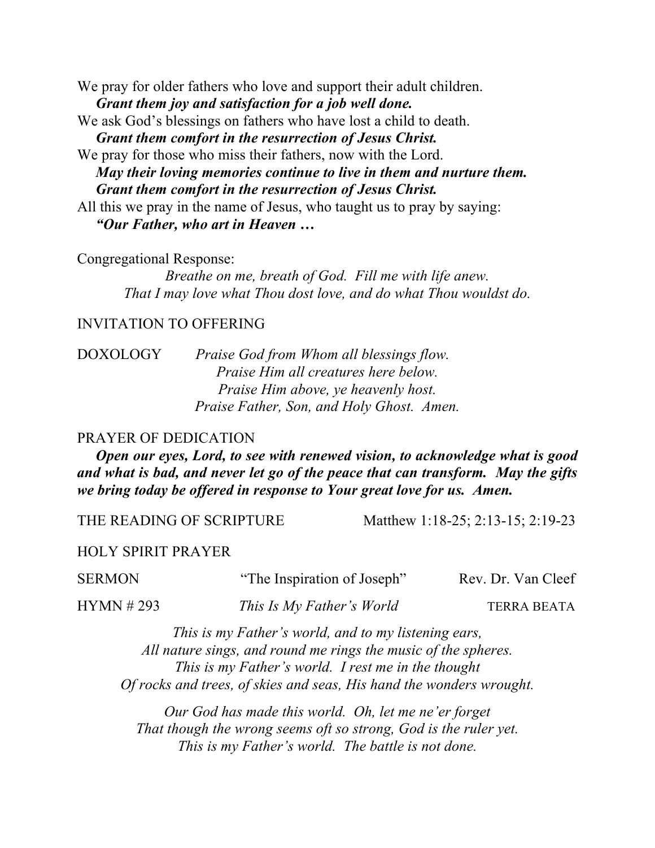We pray for older fathers who love and support their adult children. *Grant them joy and satisfaction for a job well done.*

We ask God's blessings on fathers who have lost a child to death. *Grant them comfort in the resurrection of Jesus Christ.*

We pray for those who miss their fathers, now with the Lord. *May their loving memories continue to live in them and nurture them. Grant them comfort in the resurrection of Jesus Christ.*

All this we pray in the name of Jesus, who taught us to pray by saying: *"Our Father, who art in Heaven …*

Congregational Response:

*Breathe on me, breath of God. Fill me with life anew. That I may love what Thou dost love, and do what Thou wouldst do.*

#### INVITATION TO OFFERING

DOXOLOGY *Praise God from Whom all blessings flow. Praise Him all creatures here below. Praise Him above, ye heavenly host. Praise Father, Son, and Holy Ghost. Amen.*

#### PRAYER OF DEDICATION

 *Open our eyes, Lord, to see with renewed vision, to acknowledge what is good and what is bad, and never let go of the peace that can transform. May the gifts we bring today be offered in response to Your great love for us. Amen.* 

THE READING OF SCRIPTURE Matthew 1:18-25; 2:13-15; 2:19-23

HOLY SPIRIT PRAYER

SERMON "The Inspiration of Joseph" Rev. Dr. Van Cleef

HYMN # 293 *This Is My Father's World* TERRA BEATA

*This is my Father's world, and to my listening ears, All nature sings, and round me rings the music of the spheres. This is my Father's world. I rest me in the thought Of rocks and trees, of skies and seas, His hand the wonders wrought.*

*Our God has made this world. Oh, let me ne'er forget That though the wrong seems oft so strong, God is the ruler yet. This is my Father's world. The battle is not done.*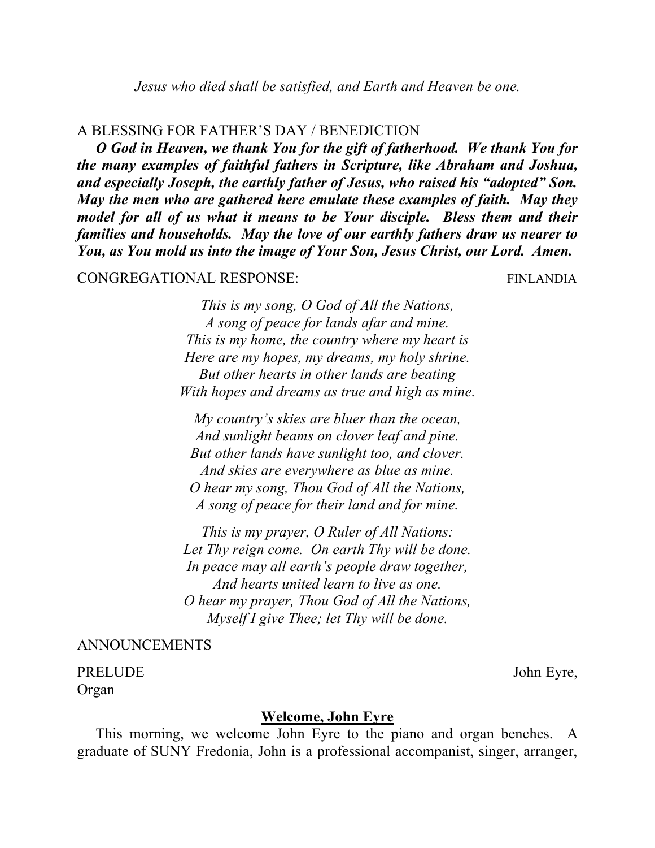#### A BLESSING FOR FATHER'S DAY / BENEDICTION

 *O God in Heaven, we thank You for the gift of fatherhood. We thank You for the many examples of faithful fathers in Scripture, like Abraham and Joshua, and especially Joseph, the earthly father of Jesus, who raised his "adopted" Son. May the men who are gathered here emulate these examples of faith. May they model for all of us what it means to be Your disciple. Bless them and their families and households. May the love of our earthly fathers draw us nearer to You, as You mold us into the image of Your Son, Jesus Christ, our Lord. Amen.*

### CONGREGATIONAL RESPONSE: FINLANDIA

*This is my song, O God of All the Nations, A song of peace for lands afar and mine. This is my home, the country where my heart is Here are my hopes, my dreams, my holy shrine. But other hearts in other lands are beating With hopes and dreams as true and high as mine.*

*My country's skies are bluer than the ocean, And sunlight beams on clover leaf and pine. But other lands have sunlight too, and clover. And skies are everywhere as blue as mine. O hear my song, Thou God of All the Nations, A song of peace for their land and for mine.*

*This is my prayer, O Ruler of All Nations: Let Thy reign come. On earth Thy will be done. In peace may all earth's people draw together, And hearts united learn to live as one. O hear my prayer, Thou God of All the Nations, Myself I give Thee; let Thy will be done.*

# ANNOUNCEMENTS

PRELUDE John Eyre, Organ

#### **Welcome, John Eyre**

 This morning, we welcome John Eyre to the piano and organ benches. A graduate of SUNY Fredonia, John is a professional accompanist, singer, arranger,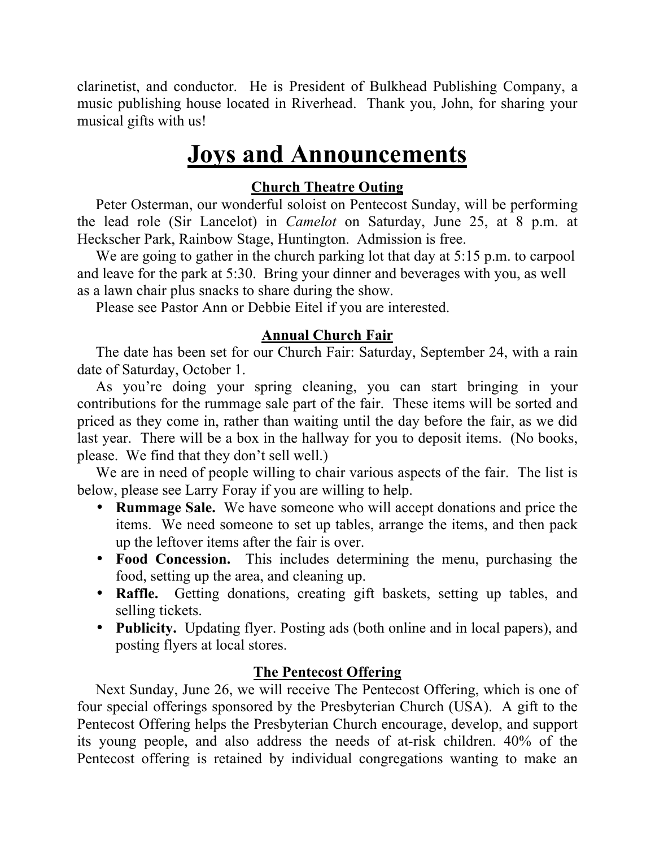clarinetist, and conductor. He is President of Bulkhead Publishing Company, a music publishing house located in Riverhead. Thank you, John, for sharing your musical gifts with us!

# **Joys and Announcements**

# **Church Theatre Outing**

 Peter Osterman, our wonderful soloist on Pentecost Sunday, will be performing the lead role (Sir Lancelot) in *Camelot* on Saturday, June 25, at 8 p.m. at Heckscher Park, Rainbow Stage, Huntington. Admission is free.

We are going to gather in the church parking lot that day at 5:15 p.m. to carpool and leave for the park at 5:30. Bring your dinner and beverages with you, as well as a lawn chair plus snacks to share during the show.

Please see Pastor Ann or Debbie Eitel if you are interested.

# **Annual Church Fair**

 The date has been set for our Church Fair: Saturday, September 24, with a rain date of Saturday, October 1.

 As you're doing your spring cleaning, you can start bringing in your contributions for the rummage sale part of the fair. These items will be sorted and priced as they come in, rather than waiting until the day before the fair, as we did last year. There will be a box in the hallway for you to deposit items. (No books, please. We find that they don't sell well.)

 We are in need of people willing to chair various aspects of the fair. The list is below, please see Larry Foray if you are willing to help.

- **Rummage Sale.** We have someone who will accept donations and price the items. We need someone to set up tables, arrange the items, and then pack up the leftover items after the fair is over.
- **Food Concession.** This includes determining the menu, purchasing the food, setting up the area, and cleaning up.
- **Raffle.** Getting donations, creating gift baskets, setting up tables, and selling tickets.
- **Publicity.** Updating flyer. Posting ads (both online and in local papers), and posting flyers at local stores.

# **The Pentecost Offering**

 Next Sunday, June 26, we will receive The Pentecost Offering, which is one of four special offerings sponsored by the Presbyterian Church (USA). A gift to the Pentecost Offering helps the Presbyterian Church encourage, develop, and support its young people, and also address the needs of at-risk children. 40% of the Pentecost offering is retained by individual congregations wanting to make an